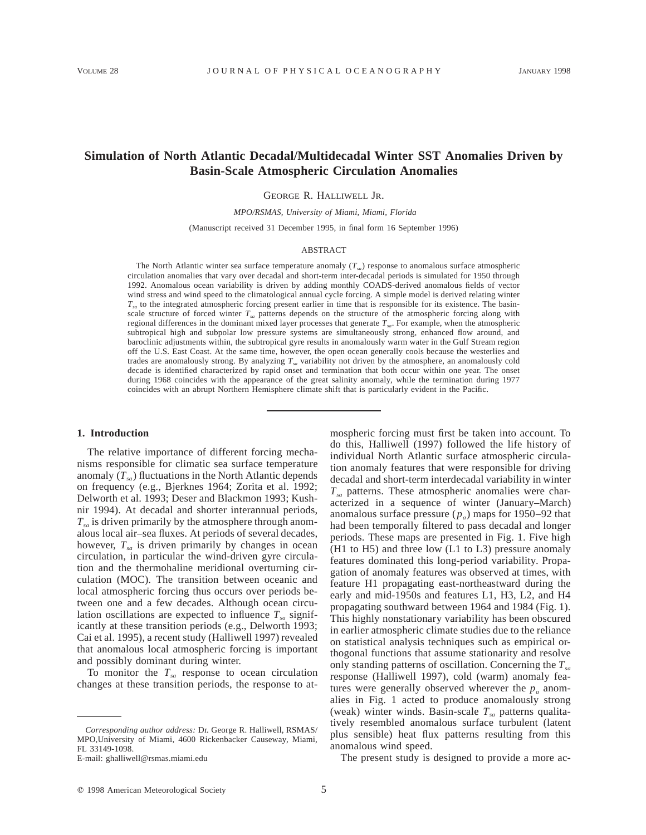# **Simulation of North Atlantic Decadal/Multidecadal Winter SST Anomalies Driven by Basin-Scale Atmospheric Circulation Anomalies**

GEORGE R. HALLIWELL JR.

*MPO/RSMAS, University of Miami, Miami, Florida*

(Manuscript received 31 December 1995, in final form 16 September 1996)

#### ABSTRACT

The North Atlantic winter sea surface temperature anomaly (*Tsa*) response to anomalous surface atmospheric circulation anomalies that vary over decadal and short-term inter-decadal periods is simulated for 1950 through 1992. Anomalous ocean variability is driven by adding monthly COADS-derived anomalous fields of vector wind stress and wind speed to the climatological annual cycle forcing. A simple model is derived relating winter *Tsa* to the integrated atmospheric forcing present earlier in time that is responsible for its existence. The basinscale structure of forced winter *Tsa* patterns depends on the structure of the atmospheric forcing along with regional differences in the dominant mixed layer processes that generate *Tsa*. For example, when the atmospheric subtropical high and subpolar low pressure systems are simultaneously strong, enhanced flow around, and baroclinic adjustments within, the subtropical gyre results in anomalously warm water in the Gulf Stream region off the U.S. East Coast. At the same time, however, the open ocean generally cools because the westerlies and trades are anomalously strong. By analyzing *Tsa* variability not driven by the atmosphere, an anomalously cold decade is identified characterized by rapid onset and termination that both occur within one year. The onset during 1968 coincides with the appearance of the great salinity anomaly, while the termination during 1977 coincides with an abrupt Northern Hemisphere climate shift that is particularly evident in the Pacific.

### **1. Introduction**

The relative importance of different forcing mechanisms responsible for climatic sea surface temperature anomaly  $(T_{sa})$  fluctuations in the North Atlantic depends on frequency (e.g., Bjerknes 1964; Zorita et al. 1992; Delworth et al. 1993; Deser and Blackmon 1993; Kushnir 1994). At decadal and shorter interannual periods,  $T_{sa}$  is driven primarily by the atmosphere through anomalous local air–sea fluxes. At periods of several decades, however,  $T_{sa}$  is driven primarily by changes in ocean circulation, in particular the wind-driven gyre circulation and the thermohaline meridional overturning circulation (MOC). The transition between oceanic and local atmospheric forcing thus occurs over periods between one and a few decades. Although ocean circulation oscillations are expected to influence  $T_{sa}$  significantly at these transition periods (e.g., Delworth 1993; Cai et al. 1995), a recent study (Halliwell 1997) revealed that anomalous local atmospheric forcing is important and possibly dominant during winter.

To monitor the  $T_{sa}$  response to ocean circulation changes at these transition periods, the response to atmospheric forcing must first be taken into account. To do this, Halliwell (1997) followed the life history of individual North Atlantic surface atmospheric circulation anomaly features that were responsible for driving decadal and short-term interdecadal variability in winter  $T_{sa}$  patterns. These atmospheric anomalies were characterized in a sequence of winter (January–March) anomalous surface pressure  $(p_a)$  maps for 1950–92 that had been temporally filtered to pass decadal and longer periods. These maps are presented in Fig. 1. Five high (H1 to H5) and three low (L1 to L3) pressure anomaly features dominated this long-period variability. Propagation of anomaly features was observed at times, with feature H1 propagating east-northeastward during the early and mid-1950s and features L1, H3, L2, and H4 propagating southward between 1964 and 1984 (Fig. 1). This highly nonstationary variability has been obscured in earlier atmospheric climate studies due to the reliance on statistical analysis techniques such as empirical orthogonal functions that assume stationarity and resolve only standing patterns of oscillation. Concerning the  $T_{sa}$ response (Halliwell 1997), cold (warm) anomaly features were generally observed wherever the  $p_a$  anomalies in Fig. 1 acted to produce anomalously strong (weak) winter winds. Basin-scale  $T_{sa}$  patterns qualitatively resembled anomalous surface turbulent (latent plus sensible) heat flux patterns resulting from this anomalous wind speed.

The present study is designed to provide a more ac-

*Corresponding author address:* Dr. George R. Halliwell, RSMAS/ MPO,University of Miami, 4600 Rickenbacker Causeway, Miami, FL 33149-1098.

E-mail: ghalliwell@rsmas.miami.edu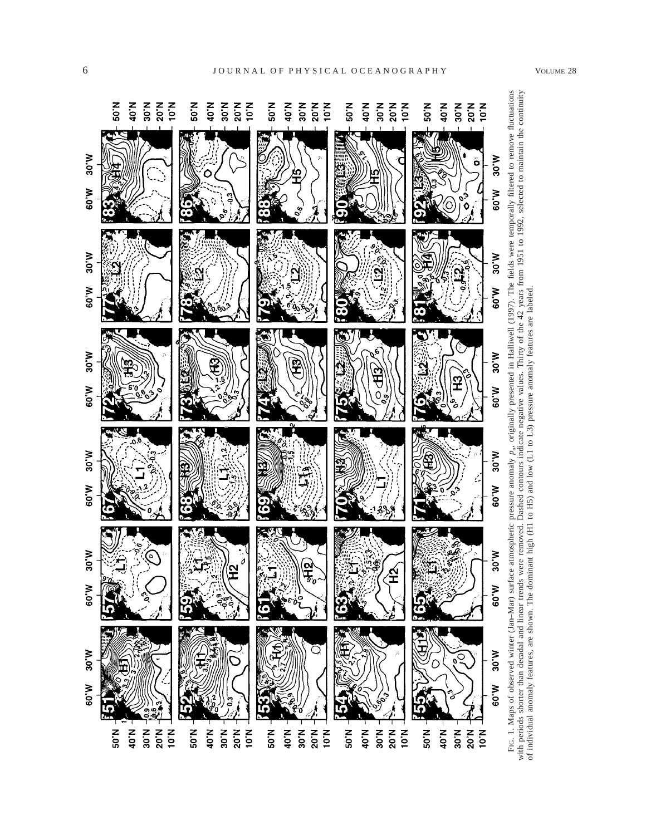

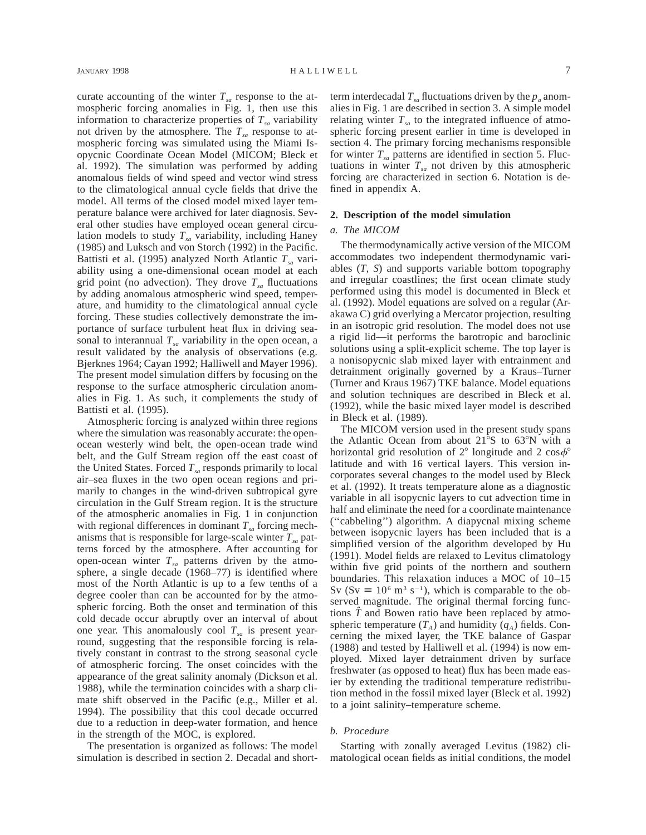curate accounting of the winter  $T_{sa}$  response to the atmospheric forcing anomalies in Fig. 1, then use this information to characterize properties of  $T_{sa}$  variability not driven by the atmosphere. The  $T_{sa}$  response to atmospheric forcing was simulated using the Miami Isopycnic Coordinate Ocean Model (MICOM; Bleck et al. 1992). The simulation was performed by adding anomalous fields of wind speed and vector wind stress to the climatological annual cycle fields that drive the model. All terms of the closed model mixed layer temperature balance were archived for later diagnosis. Several other studies have employed ocean general circulation models to study  $T_{sa}$  variability, including Haney (1985) and Luksch and von Storch (1992) in the Pacific. Battisti et al. (1995) analyzed North Atlantic  $T_{sa}$  variability using a one-dimensional ocean model at each grid point (no advection). They drove  $T_{sa}$  fluctuations by adding anomalous atmospheric wind speed, temperature, and humidity to the climatological annual cycle forcing. These studies collectively demonstrate the importance of surface turbulent heat flux in driving seasonal to interannual  $T_{sa}$  variability in the open ocean, a result validated by the analysis of observations (e.g. Bjerknes 1964; Cayan 1992; Halliwell and Mayer 1996). The present model simulation differs by focusing on the response to the surface atmospheric circulation anomalies in Fig. 1. As such, it complements the study of Battisti et al. (1995).

Atmospheric forcing is analyzed within three regions where the simulation was reasonably accurate: the openocean westerly wind belt, the open-ocean trade wind belt, and the Gulf Stream region off the east coast of the United States. Forced  $T_{sa}$  responds primarily to local air–sea fluxes in the two open ocean regions and primarily to changes in the wind-driven subtropical gyre circulation in the Gulf Stream region. It is the structure of the atmospheric anomalies in Fig. 1 in conjunction with regional differences in dominant  $T_{sa}$  forcing mechanisms that is responsible for large-scale winter  $T_{sa}$  patterns forced by the atmosphere. After accounting for open-ocean winter  $T_{sa}$  patterns driven by the atmosphere, a single decade (1968–77) is identified where most of the North Atlantic is up to a few tenths of a degree cooler than can be accounted for by the atmospheric forcing. Both the onset and termination of this cold decade occur abruptly over an interval of about one year. This anomalously cool  $T_{sa}$  is present yearround, suggesting that the responsible forcing is relatively constant in contrast to the strong seasonal cycle of atmospheric forcing. The onset coincides with the appearance of the great salinity anomaly (Dickson et al. 1988), while the termination coincides with a sharp climate shift observed in the Pacific (e.g., Miller et al. 1994). The possibility that this cool decade occurred due to a reduction in deep-water formation, and hence in the strength of the MOC, is explored.

The presentation is organized as follows: The model simulation is described in section 2. Decadal and shortterm interdecadal  $T_{sa}$  fluctuations driven by the  $p_a$  anomalies in Fig. 1 are described in section 3. A simple model relating winter  $T_{sa}$  to the integrated influence of atmospheric forcing present earlier in time is developed in section 4. The primary forcing mechanisms responsible for winter  $T_{sa}$  patterns are identified in section 5. Fluctuations in winter  $T_{sa}$  not driven by this atmospheric forcing are characterized in section 6. Notation is defined in appendix A.

#### **2. Description of the model simulation**

### *a. The MICOM*

The thermodynamically active version of the MICOM accommodates two independent thermodynamic variables (*T, S*) and supports variable bottom topography and irregular coastlines; the first ocean climate study performed using this model is documented in Bleck et al. (1992). Model equations are solved on a regular (Arakawa C) grid overlying a Mercator projection, resulting in an isotropic grid resolution. The model does not use a rigid lid—it performs the barotropic and baroclinic solutions using a split-explicit scheme. The top layer is a nonisopycnic slab mixed layer with entrainment and detrainment originally governed by a Kraus–Turner (Turner and Kraus 1967) TKE balance. Model equations and solution techniques are described in Bleck et al. (1992), while the basic mixed layer model is described in Bleck et al. (1989).

The MICOM version used in the present study spans the Atlantic Ocean from about  $21^{\circ}$ S to  $63^{\circ}$ N with a horizontal grid resolution of  $2^{\circ}$  longitude and  $2 \cos \phi^{\circ}$ latitude and with 16 vertical layers. This version incorporates several changes to the model used by Bleck et al. (1992). It treats temperature alone as a diagnostic variable in all isopycnic layers to cut advection time in half and eliminate the need for a coordinate maintenance (''cabbeling'') algorithm. A diapycnal mixing scheme between isopycnic layers has been included that is a simplified version of the algorithm developed by Hu (1991). Model fields are relaxed to Levitus climatology within five grid points of the northern and southern boundaries. This relaxation induces a MOC of 10–15 Sv (Sv  $\equiv 10^6$  m<sup>3</sup> s<sup>-1</sup>), which is comparable to the observed magnitude. The original thermal forcing functions  $\hat{T}$  and Bowen ratio have been replaced by atmospheric temperature  $(T_A)$  and humidity  $(q_A)$  fields. Concerning the mixed layer, the TKE balance of Gaspar (1988) and tested by Halliwell et al. (1994) is now employed. Mixed layer detrainment driven by surface freshwater (as opposed to heat) flux has been made easier by extending the traditional temperature redistribution method in the fossil mixed layer (Bleck et al. 1992) to a joint salinity–temperature scheme.

### *b. Procedure*

Starting with zonally averaged Levitus (1982) climatological ocean fields as initial conditions, the model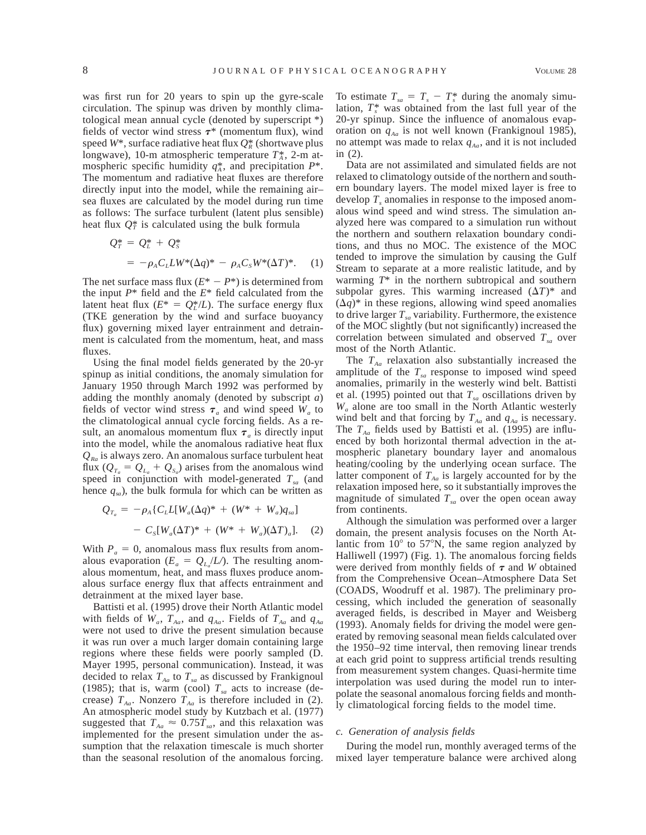was first run for 20 years to spin up the gyre-scale circulation. The spinup was driven by monthly climatological mean annual cycle (denoted by superscript \*) fields of vector wind stress  $\tau^*$  (momentum flux), wind speed  $W^*$ , surface radiative heat flux  $Q_R^*$  (shortwave plus longwave), 10-m atmospheric temperature  $T_A^*$ , 2-m atmospheric specific humidity  $q_{\lambda}^{*}$ , and precipitation  $P^{*}$ . The momentum and radiative heat fluxes are therefore directly input into the model, while the remaining air– sea fluxes are calculated by the model during run time as follows: The surface turbulent (latent plus sensible) heat flux  $Q_T^*$  is calculated using the bulk formula

$$
Q_T^* = Q_L^* + Q_S^*
$$
  
=  $-\rho_A C_L U W^* (\Delta q)^* - \rho_A C_S W^* (\Delta T)^*.$  (1)

The net surface mass flux  $(E^* - P^*)$  is determined from the input *P*\* field and the *E*\* field calculated from the latent heat flux  $(E^* = Q_L^*/L)$ . The surface energy flux (TKE generation by the wind and surface buoyancy flux) governing mixed layer entrainment and detrainment is calculated from the momentum, heat, and mass fluxes.

Using the final model fields generated by the 20-yr spinup as initial conditions, the anomaly simulation for January 1950 through March 1992 was performed by adding the monthly anomaly (denoted by subscript *a*) fields of vector wind stress  $\tau_a$  and wind speed  $W_a$  to the climatological annual cycle forcing fields. As a result, an anomalous momentum flux  $\tau_a$  is directly input into the model, while the anomalous radiative heat flux  $Q_{Bq}$  is always zero. An anomalous surface turbulent heat flux  $(Q_{T_a} = Q_{L_a} + Q_{S_a})$  arises from the anomalous wind speed in conjunction with model-generated  $T_{sa}$  (and hence  $q_{sa}$ ), the bulk formula for which can be written as

$$
Q_{T_a} = -\rho_A \{ C_L L[W_a(\Delta q)^* + (W^* + W_a)q_{sa}] - C_S[W_a(\Delta T)^* + (W^* + W_a)(\Delta T)_a].
$$
 (2)

With  $P_a = 0$ , anomalous mass flux results from anomalous evaporation ( $E_a = Q_L / L$ ). The resulting anomalous momentum, heat, and mass fluxes produce anomalous surface energy flux that affects entrainment and detrainment at the mixed layer base.

Battisti et al. (1995) drove their North Atlantic model with fields of  $W_a$ ,  $T_{Aa}$ , and  $q_{Aa}$ . Fields of  $T_{Aa}$  and  $q_{Aa}$ were not used to drive the present simulation because it was run over a much larger domain containing large regions where these fields were poorly sampled (D. Mayer 1995, personal communication). Instead, it was decided to relax  $T_{Aa}$  to  $T_{sa}$  as discussed by Frankignoul (1985); that is, warm (cool)  $T_{sa}$  acts to increase (decrease)  $T_{Aa}$ . Nonzero  $T_{Aa}$  is therefore included in (2). An atmospheric model study by Kutzbach et al. (1977) suggested that  $T_{Aa} \approx 0.75T_{sa}$ , and this relaxation was implemented for the present simulation under the assumption that the relaxation timescale is much shorter than the seasonal resolution of the anomalous forcing.

To estimate  $T_{sa} = T_s - T_s^*$  during the anomaly simulation,  $T^*$ <sup>*s*</sup> was obtained from the last full year of the 20-yr spinup. Since the influence of anomalous evaporation on  $q_{Aa}$  is not well known (Frankignoul 1985), no attempt was made to relax  $q_{Aa}$ , and it is not included in (2).

Data are not assimilated and simulated fields are not relaxed to climatology outside of the northern and southern boundary layers. The model mixed layer is free to develop  $T<sub>s</sub>$  anomalies in response to the imposed anomalous wind speed and wind stress. The simulation analyzed here was compared to a simulation run without the northern and southern relaxation boundary conditions, and thus no MOC. The existence of the MOC tended to improve the simulation by causing the Gulf Stream to separate at a more realistic latitude, and by warming *T*\* in the northern subtropical and southern subpolar gyres. This warming increased  $(\Delta T)^*$  and  $(\Delta q)^*$  in these regions, allowing wind speed anomalies to drive larger  $T_{sa}$  variability. Furthermore, the existence of the MOC slightly (but not significantly) increased the correlation between simulated and observed  $T_{sa}$  over most of the North Atlantic.

The  $T_{Aa}$  relaxation also substantially increased the amplitude of the  $T_{sa}$  response to imposed wind speed anomalies, primarily in the westerly wind belt. Battisti et al. (1995) pointed out that  $T_{sa}$  oscillations driven by *Wa* alone are too small in the North Atlantic westerly wind belt and that forcing by  $T_{Aa}$  and  $q_{Aa}$  is necessary. The  $T_{Aa}$  fields used by Battisti et al. (1995) are influenced by both horizontal thermal advection in the atmospheric planetary boundary layer and anomalous heating/cooling by the underlying ocean surface. The latter component of  $T_{Aa}$  is largely accounted for by the relaxation imposed here, so it substantially improves the magnitude of simulated  $T_{sa}$  over the open ocean away from continents.

Although the simulation was performed over a larger domain, the present analysis focuses on the North Atlantic from  $10^{\circ}$  to 57 $^{\circ}$ N, the same region analyzed by Halliwell (1997) (Fig. 1). The anomalous forcing fields were derived from monthly fields of  $\tau$  and *W* obtained from the Comprehensive Ocean–Atmosphere Data Set (COADS, Woodruff et al. 1987). The preliminary processing, which included the generation of seasonally averaged fields, is described in Mayer and Weisberg (1993). Anomaly fields for driving the model were generated by removing seasonal mean fields calculated over the 1950–92 time interval, then removing linear trends at each grid point to suppress artificial trends resulting from measurement system changes. Quasi-hermite time interpolation was used during the model run to interpolate the seasonal anomalous forcing fields and monthly climatological forcing fields to the model time.

#### *c. Generation of analysis fields*

During the model run, monthly averaged terms of the mixed layer temperature balance were archived along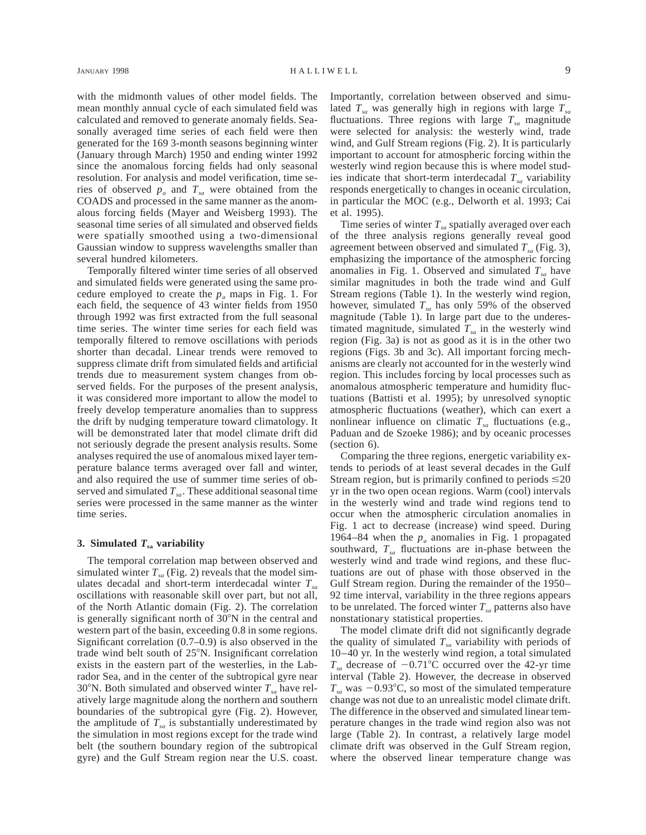with the midmonth values of other model fields. The mean monthly annual cycle of each simulated field was calculated and removed to generate anomaly fields. Seasonally averaged time series of each field were then generated for the 169 3-month seasons beginning winter (January through March) 1950 and ending winter 1992 since the anomalous forcing fields had only seasonal resolution. For analysis and model verification, time series of observed  $p_a$  and  $T_{sa}$  were obtained from the COADS and processed in the same manner as the anomalous forcing fields (Mayer and Weisberg 1993). The seasonal time series of all simulated and observed fields were spatially smoothed using a two-dimensional Gaussian window to suppress wavelengths smaller than several hundred kilometers.

Temporally filtered winter time series of all observed and simulated fields were generated using the same procedure employed to create the  $p_a$  maps in Fig. 1. For each field, the sequence of 43 winter fields from 1950 through 1992 was first extracted from the full seasonal time series. The winter time series for each field was temporally filtered to remove oscillations with periods shorter than decadal. Linear trends were removed to suppress climate drift from simulated fields and artificial trends due to measurement system changes from observed fields. For the purposes of the present analysis, it was considered more important to allow the model to freely develop temperature anomalies than to suppress the drift by nudging temperature toward climatology. It will be demonstrated later that model climate drift did not seriously degrade the present analysis results. Some analyses required the use of anomalous mixed layer temperature balance terms averaged over fall and winter, and also required the use of summer time series of observed and simulated  $T_{sa}$ . These additional seasonal time series were processed in the same manner as the winter time series.

## **3. Simulated**  $T_{sa}$  **variability**

The temporal correlation map between observed and simulated winter  $T_{sa}$  (Fig. 2) reveals that the model simulates decadal and short-term interdecadal winter  $T_{sa}$ oscillations with reasonable skill over part, but not all, of the North Atlantic domain (Fig. 2). The correlation is generally significant north of  $30^{\circ}$ N in the central and western part of the basin, exceeding 0.8 in some regions. Significant correlation (0.7–0.9) is also observed in the trade wind belt south of  $25^{\circ}$ N. Insignificant correlation exists in the eastern part of the westerlies, in the Labrador Sea, and in the center of the subtropical gyre near 30°N. Both simulated and observed winter  $T_{sa}$  have relatively large magnitude along the northern and southern boundaries of the subtropical gyre (Fig. 2). However, the amplitude of  $T_{sa}$  is substantially underestimated by the simulation in most regions except for the trade wind belt (the southern boundary region of the subtropical gyre) and the Gulf Stream region near the U.S. coast.

Importantly, correlation between observed and simulated  $T_{sa}$  was generally high in regions with large  $T_{sa}$ fluctuations. Three regions with large  $T_{sa}$  magnitude were selected for analysis: the westerly wind, trade wind, and Gulf Stream regions (Fig. 2). It is particularly important to account for atmospheric forcing within the westerly wind region because this is where model studies indicate that short-term interdecadal  $T_{sa}$  variability responds energetically to changes in oceanic circulation, in particular the MOC (e.g., Delworth et al. 1993; Cai et al. 1995).

Time series of winter  $T_{sa}$  spatially averaged over each of the three analysis regions generally reveal good agreement between observed and simulated  $T_{sa}$  (Fig. 3), emphasizing the importance of the atmospheric forcing anomalies in Fig. 1. Observed and simulated  $T_{sa}$  have similar magnitudes in both the trade wind and Gulf Stream regions (Table 1). In the westerly wind region, however, simulated  $T_{sa}$  has only 59% of the observed magnitude (Table 1). In large part due to the underestimated magnitude, simulated  $T_{sa}$  in the westerly wind region (Fig. 3a) is not as good as it is in the other two regions (Figs. 3b and 3c). All important forcing mechanisms are clearly not accounted for in the westerly wind region. This includes forcing by local processes such as anomalous atmospheric temperature and humidity fluctuations (Battisti et al. 1995); by unresolved synoptic atmospheric fluctuations (weather), which can exert a nonlinear influence on climatic  $T_{sa}$  fluctuations (e.g., Paduan and de Szoeke 1986); and by oceanic processes (section 6).

Comparing the three regions, energetic variability extends to periods of at least several decades in the Gulf Stream region, but is primarily confined to periods  $\leq 20$ yr in the two open ocean regions. Warm (cool) intervals in the westerly wind and trade wind regions tend to occur when the atmospheric circulation anomalies in Fig. 1 act to decrease (increase) wind speed. During 1964–84 when the  $p_a$  anomalies in Fig. 1 propagated southward,  $T_{sa}$  fluctuations are in-phase between the westerly wind and trade wind regions, and these fluctuations are out of phase with those observed in the Gulf Stream region. During the remainder of the 1950– 92 time interval, variability in the three regions appears to be unrelated. The forced winter  $T_{sa}$  patterns also have nonstationary statistical properties.

The model climate drift did not significantly degrade the quality of simulated  $T_{sa}$  variability with periods of 10–40 yr. In the westerly wind region, a total simulated  $T_{sa}$  decrease of  $-0.71^{\circ}$ C occurred over the 42-yr time interval (Table 2). However, the decrease in observed  $T_{sa}$  was  $-0.93$ °C, so most of the simulated temperature change was not due to an unrealistic model climate drift. The difference in the observed and simulated linear temperature changes in the trade wind region also was not large (Table 2). In contrast, a relatively large model climate drift was observed in the Gulf Stream region, where the observed linear temperature change was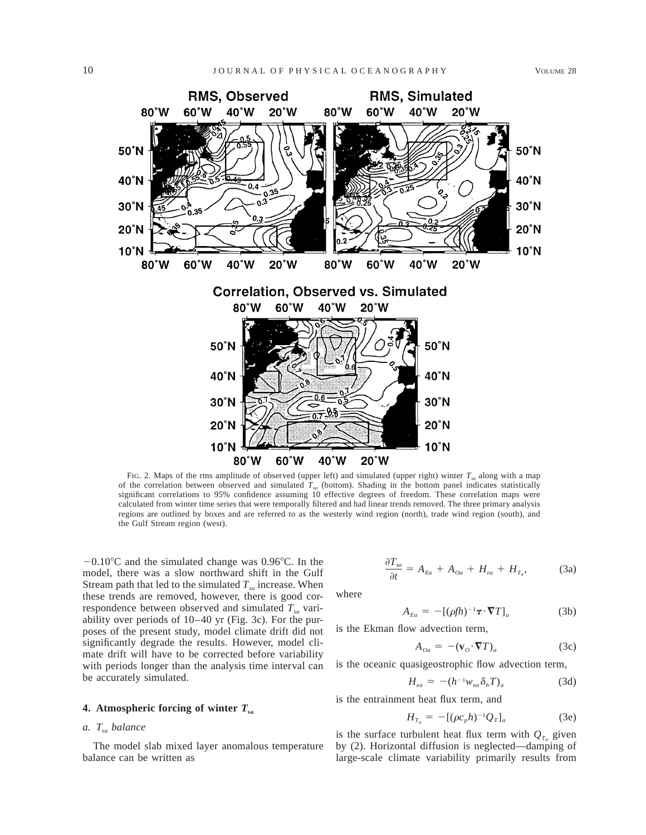

FIG. 2. Maps of the rms amplitude of observed (upper left) and simulated (upper right) winter  $T_{sa}$  along with a map of the correlation between observed and simulated  $T_{sa}$  (bottom). Shading in the bottom panel indicates statistically significant correlations to 95% confidence assuming 10 effective degrees of freedom. These correlation maps were calculated from winter time series that were temporally filtered and had linear trends removed. The three primary analysis regions are outlined by boxes and are referred to as the westerly wind region (north), trade wind region (south), and the Gulf Stream region (west).

 $-0.10^{\circ}$ C and the simulated change was 0.96°C. In the model, there was a slow northward shift in the Gulf Stream path that led to the simulated  $T_{sa}$  increase. When these trends are removed, however, there is good correspondence between observed and simulated  $T_{sa}$  variability over periods of 10–40 yr (Fig. 3c). For the purposes of the present study, model climate drift did not significantly degrade the results. However, model climate drift will have to be corrected before variability with periods longer than the analysis time interval can be accurately simulated.

## **4. Atmospheric forcing of winter** *T***sa**

### *a. Tsa balance*

The model slab mixed layer anomalous temperature balance can be written as

$$
\frac{\partial T_{sa}}{\partial t} = A_{Ea} + A_{oa} + H_{ea} + H_{T_a}, \tag{3a}
$$

where

$$
A_{Ea} = -[(\rho f h)^{-1} \boldsymbol{\tau} \cdot \boldsymbol{\nabla} T]_a \tag{3b}
$$

is the Ekman flow advection term,

$$
A_{oa} = -(\mathbf{v}_o \cdot \nabla T)_a \tag{3c}
$$

is the oceanic quasigeostrophic flow advection term,

$$
H_{ea} = -(h^{-1}w_{ea}\delta_h T)_a \tag{3d}
$$

is the entrainment heat flux term, and

$$
H_{T_a} = -[(\rho c_p h)^{-1} Q_T]_a \tag{3e}
$$

is the surface turbulent heat flux term with  $Q_{T_a}$  given by (2). Horizontal diffusion is neglected—damping of large-scale climate variability primarily results from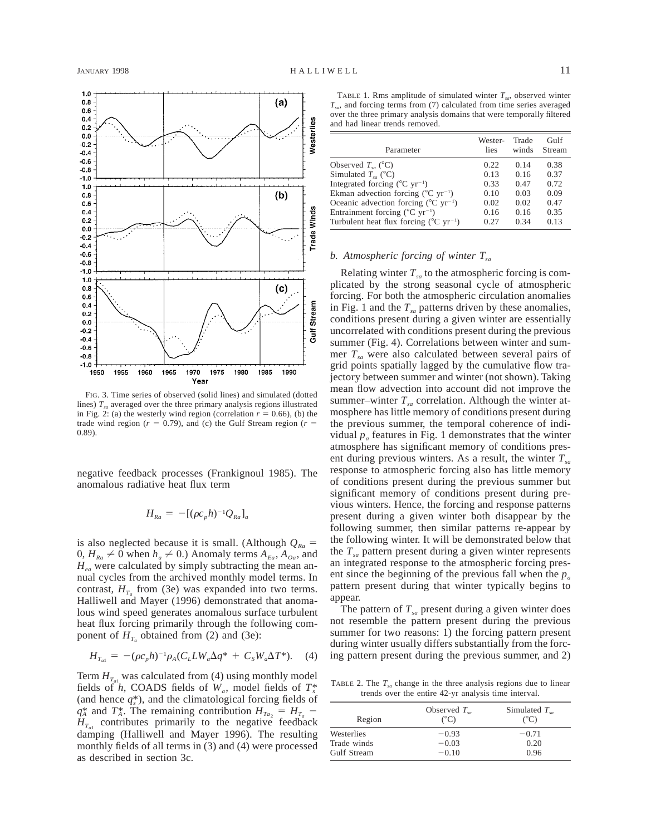

FIG. 3. Time series of observed (solid lines) and simulated (dotted lines)  $T_{sa}$  averaged over the three primary analysis regions illustrated in Fig. 2: (a) the westerly wind region (correlation  $r = 0.66$ ), (b) the trade wind region ( $r = 0.79$ ), and (c) the Gulf Stream region ( $r =$ 0.89).

negative feedback processes (Frankignoul 1985). The anomalous radiative heat flux term

$$
H_{Ra} = -[(\rho c_p h)^{-1} Q_{Ra}]_a
$$

is also neglected because it is small. (Although  $Q_{Ra}$  =  $0, H_{Ra} \neq 0$  when  $h_a \neq 0$ .) Anomaly terms  $A_{E_a}, A_{O_a}$ , and *Hea* were calculated by simply subtracting the mean annual cycles from the archived monthly model terms. In contrast,  $H_{T_a}$  from (3e) was expanded into two terms. Halliwell and Mayer (1996) demonstrated that anomalous wind speed generates anomalous surface turbulent heat flux forcing primarily through the following component of  $H_{T_a}$  obtained from (2) and (3e):

$$
H_{T_{a1}} = -(\rho c_p h)^{-1} \rho_A (C_L L W_a \Delta q^* + C_s W_a \Delta T^*). \quad (4)
$$

Term  $H_{T_{a1}}$  was calculated from (4) using monthly model fields of *h*, COADS fields of  $W_a$ , model fields of  $T_s^*$ (and hence  $q_s^*$ ), and the climatological forcing fields of  $q_A^*$  and  $T_A^*$ . The remaining contribution  $H_{Ta_2} = H_{T_a}$  –  $H_{T_{cl}}$  contributes primarily to the negative feedback damping (Halliwell and Mayer 1996). The resulting monthly fields of all terms in (3) and (4) were processed as described in section 3c.

TABLE 1. Rms amplitude of simulated winter  $T_{sa}$ , observed winter *Tsa*, and forcing terms from (7) calculated from time series averaged over the three primary analysis domains that were temporally filtered and had linear trends removed.

| Parameter                                                     | Wester-<br>lies | Trade<br>winds | Gulf<br>Stream |
|---------------------------------------------------------------|-----------------|----------------|----------------|
| Observed $T_{sa}$ (°C)                                        | 0.22            | 0.14           | 0.38           |
| Simulated $T_{\text{eq}}$ (°C)                                | 0.13            | 0.16           | 0.37           |
| Integrated forcing $(^{\circ}C$ yr <sup>-1</sup> )            | 0.33            | 0.47           | 0.72           |
| Ekman advection forcing ( $^{\circ}$ C yr <sup>-1</sup> )     | 0.10            | 0.03           | 0.09           |
| Oceanic advection forcing $({}^{\circ}C \, yr^{-1})$          | 0.02            | 0.02           | 0.47           |
| Entrainment forcing ( ${}^{\circ}$ C yr <sup>-1</sup> )       | 0.16            | 0.16           | 0.35           |
| Turbulent heat flux forcing ( $^{\circ}$ C yr <sup>-1</sup> ) | 0.27            | 0.34           | 0.13           |

### *b. Atmospheric forcing of winter Tsa*

Relating winter  $T_{sa}$  to the atmospheric forcing is complicated by the strong seasonal cycle of atmospheric forcing. For both the atmospheric circulation anomalies in Fig. 1 and the  $T_{sa}$  patterns driven by these anomalies, conditions present during a given winter are essentially uncorrelated with conditions present during the previous summer (Fig. 4). Correlations between winter and summer  $T_{sa}$  were also calculated between several pairs of grid points spatially lagged by the cumulative flow trajectory between summer and winter (not shown). Taking mean flow advection into account did not improve the summer–winter  $T_{sa}$  correlation. Although the winter atmosphere has little memory of conditions present during the previous summer, the temporal coherence of individual  $p_a$  features in Fig. 1 demonstrates that the winter atmosphere has significant memory of conditions present during previous winters. As a result, the winter  $T_{sa}$ response to atmospheric forcing also has little memory of conditions present during the previous summer but significant memory of conditions present during previous winters. Hence, the forcing and response patterns present during a given winter both disappear by the following summer, then similar patterns re-appear by the following winter. It will be demonstrated below that the  $T_{sa}$  pattern present during a given winter represents an integrated response to the atmospheric forcing present since the beginning of the previous fall when the  $p_a$ pattern present during that winter typically begins to appear.

The pattern of  $T_{sa}$  present during a given winter does not resemble the pattern present during the previous summer for two reasons: 1) the forcing pattern present during winter usually differs substantially from the forcing pattern present during the previous summer, and 2)

TABLE 2. The  $T_{sa}$  change in the three analysis regions due to linear trends over the entire 42-yr analysis time interval.

| Region      | Observed $T_{\alpha}$<br>$(^{\circ}C)$ | Simulated $T_{\alpha}$<br>$(^{\circ}C)$ |  |
|-------------|----------------------------------------|-----------------------------------------|--|
| Westerlies  | $-0.93$                                | $-0.71$                                 |  |
| Trade winds | $-0.03$                                | 0.20                                    |  |
| Gulf Stream | $-0.10$                                | 0.96                                    |  |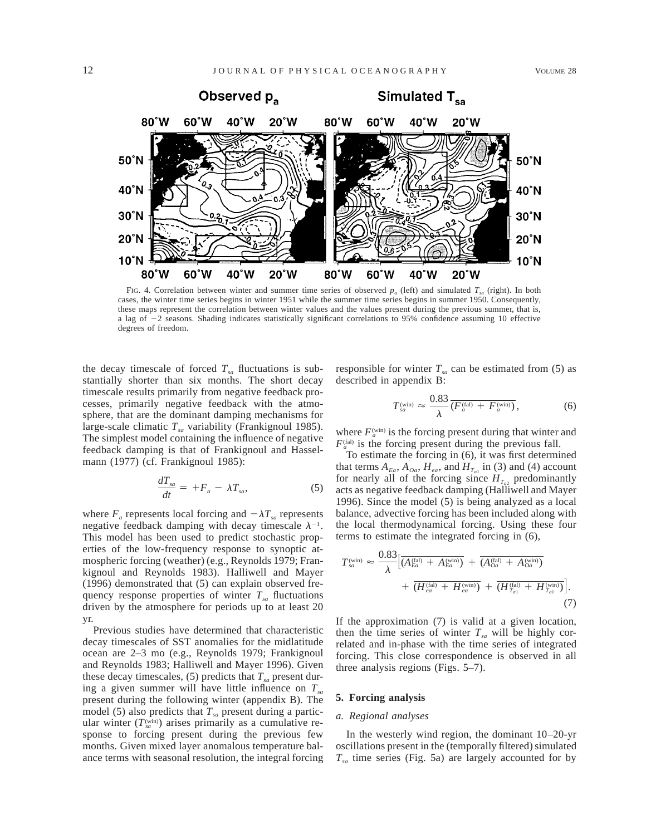

FIG. 4. Correlation between winter and summer time series of observed  $p_a$  (left) and simulated  $T_{sa}$  (right). In both cases, the winter time series begins in winter 1951 while the summer time series begins in summer 1950. Consequently, these maps represent the correlation between winter values and the values present during the previous summer, that is, a lag of  $-2$  seasons. Shading indicates statistically significant correlations to 95% confidence assuming 10 effective degrees of freedom.

the decay timescale of forced  $T_{sa}$  fluctuations is substantially shorter than six months. The short decay timescale results primarily from negative feedback processes, primarily negative feedback with the atmosphere, that are the dominant damping mechanisms for large-scale climatic  $T_{sa}$  variability (Frankignoul 1985). The simplest model containing the influence of negative feedback damping is that of Frankignoul and Hasselmann (1977) (cf. Frankignoul 1985):

$$
\frac{dT_{sa}}{dt} = +F_a - \lambda T_{sa},\tag{5}
$$

where  $F_a$  represents local forcing and  $-\lambda T_{sa}$  represents negative feedback damping with decay timescale  $\lambda^{-1}$ . This model has been used to predict stochastic properties of the low-frequency response to synoptic atmospheric forcing (weather) (e.g., Reynolds 1979; Frankignoul and Reynolds 1983). Halliwell and Mayer (1996) demonstrated that (5) can explain observed frequency response properties of winter  $T_{sa}$  fluctuations driven by the atmosphere for periods up to at least 20 yr.

Previous studies have determined that characteristic decay timescales of SST anomalies for the midlatitude ocean are 2–3 mo (e.g., Reynolds 1979; Frankignoul and Reynolds 1983; Halliwell and Mayer 1996). Given these decay timescales,  $(5)$  predicts that  $T_{sa}$  present during a given summer will have little influence on  $T_{sa}$ present during the following winter (appendix B). The model (5) also predicts that  $T_{sa}$  present during a particular winter  $(T_{sa}^{(win)})$  arises primarily as a cumulative response to forcing present during the previous few months. Given mixed layer anomalous temperature balance terms with seasonal resolution, the integral forcing

responsible for winter  $T_{sa}$  can be estimated from (5) as described in appendix B:

$$
T_{sa}^{(\text{win})} \approx \frac{0.83}{\lambda} \overline{(F_a^{(\text{fal})} + F_a^{(\text{win})})},\tag{6}
$$

where  $F_a^{\text{(win)}}$  is the forcing present during that winter and  $F_a^{\text{(fal)}}$  is the forcing present during the previous fall.

To estimate the forcing in (6), it was first determined that terms  $A_{Ea}$ ,  $A_{Oa}$ ,  $H_{ea}$ , and  $H_{T_{a1}}$  in (3) and (4) account for nearly all of the forcing since  $H_{T_{a2}}$  predominantly acts as negative feedback damping (Halliwell and Mayer 1996). Since the model (5) is being analyzed as a local balance, advective forcing has been included along with the local thermodynamical forcing. Using these four terms to estimate the integrated forcing in (6),

$$
T_{sa}^{(\text{win})} \approx \frac{0.83}{\lambda} \Big[ \overline{(A_{Ea}^{(\text{fal})} + A_{Ea}^{(\text{win})})} + \overline{(A_{Oa}^{(\text{fal})} + A_{Oa}^{(\text{win})})} + \overline{(H_{ea}^{(\text{fal})} + H_{ea}^{(\text{win})})} + \overline{(H_{T_{a1}}^{(\text{fal})} + H_{T_{a1}}^{(\text{win})})} \Big].
$$
\n(7)

If the approximation (7) is valid at a given location, then the time series of winter  $T_{sa}$  will be highly correlated and in-phase with the time series of integrated forcing. This close correspondence is observed in all three analysis regions (Figs. 5–7).

### **5. Forcing analysis**

#### *a. Regional analyses*

In the westerly wind region, the dominant 10–20-yr oscillations present in the (temporally filtered) simulated  $T_{sa}$  time series (Fig. 5a) are largely accounted for by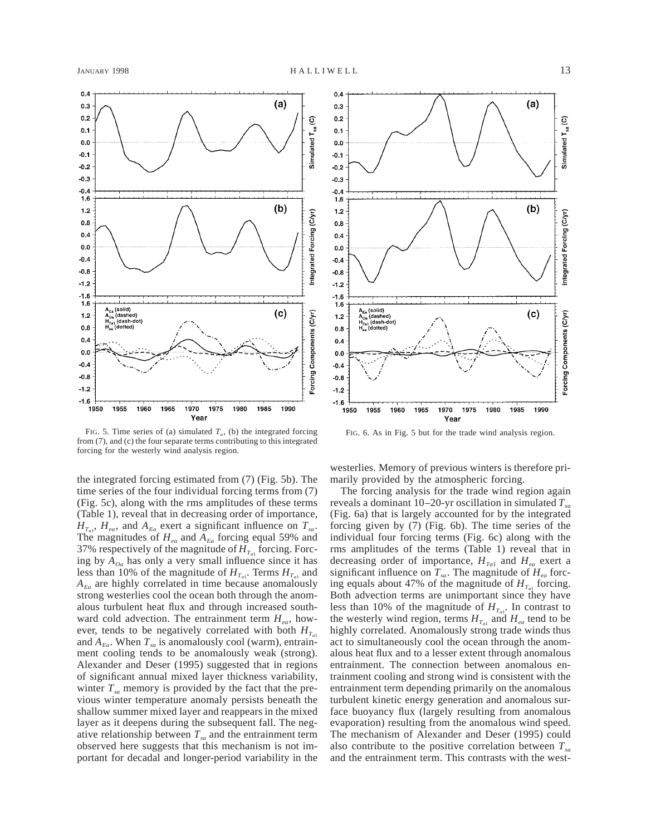$0.4$ 

 $0.3$ 

 $0.2$ 

 $0.1$ 

 $0.0$ 

 $-0.1$ 

 $-0.2$ 

 $-0.3$ 

Simulated T<sub>sa</sub> (C)

 $(a)$ 



 $-0.4$ 1.6  $(b)$  $1.2$ Integrated Forcing (C/yr)  $0.8$  $0.4$  $0.0$  $-0.4$  $-0.8$  $-1.2$  $-1.6$ 1.6  $A_{Ea}$  (solid)<br> $A_{Oa}$  (dashed)<br> $H_{Ta1}$  (dash-do<br> $H_{ea}$  (dotted)  $(c)$ Forcing Components (C/yr)  $1.2$  $0.8$  $0.4$  $0.0$  $-0.4$  $-0.8$  $-1.2$  $-1.6$ 1950 1955 1960 1965 1970 1975 1980 1985 1990 Year

FIG. 5. Time series of (a) simulated  $T_a$ , (b) the integrated forcing from (7), and (c) the four separate terms contributing to this integrated forcing for the westerly wind analysis region.

the integrated forcing estimated from (7) (Fig. 5b). The time series of the four individual forcing terms from (7) (Fig. 5c), along with the rms amplitudes of these terms (Table 1), reveal that in decreasing order of importance,  $H_{T_{a1}}$ ,  $H_{ea}$ , and  $A_{Ea}$  exert a significant influence on  $T_{sa}$ . The magnitudes of  $H_{ea}$  and  $A_{Ea}$  forcing equal 59% and 37% respectively of the magnitude of  $H_{T_{a}}$  forcing. Forcing by  $A_{oa}$  has only a very small influence since it has less than 10% of the magnitude of  $H_{T_{a1}}$ . Terms  $H_{T_{a1}}$  and  $A_{E_a}$  are highly correlated in time because anomalously strong westerlies cool the ocean both through the anomalous turbulent heat flux and through increased southward cold advection. The entrainment term  $H_{eq}$ , however, tends to be negatively correlated with both  $H_{T_{c1}}$ and  $A_{Ea}$ . When  $T_{sa}$  is anomalously cool (warm), entrainment cooling tends to be anomalously weak (strong). Alexander and Deser (1995) suggested that in regions of significant annual mixed layer thickness variability, winter  $T_{sa}$  memory is provided by the fact that the previous winter temperature anomaly persists beneath the shallow summer mixed layer and reappears in the mixed layer as it deepens during the subsequent fall. The negative relationship between  $T_{sa}$  and the entrainment term observed here suggests that this mechanism is not important for decadal and longer-period variability in the

FIG. 6. As in Fig. 5 but for the trade wind analysis region.

westerlies. Memory of previous winters is therefore primarily provided by the atmospheric forcing.

The forcing analysis for the trade wind region again reveals a dominant 10–20-yr oscillation in simulated  $T_{sa}$ (Fig. 6a) that is largely accounted for by the integrated forcing given by (7) (Fig. 6b). The time series of the individual four forcing terms (Fig. 6c) along with the rms amplitudes of the terms (Table 1) reveal that in decreasing order of importance,  $H_{T_a}$  and  $H_{ea}$  exert a significant influence on  $T_{sa}$ . The magnitude of  $H_{ea}$  forcing equals about 47% of the magnitude of  $H_{T_{a1}}$  forcing. Both advection terms are unimportant since they have less than 10% of the magnitude of  $H_{T_{a1}}$ . In contrast to the westerly wind region, terms  $H_{T_{cl}}$  and  $H_{ea}$  tend to be highly correlated. Anomalously strong trade winds thus act to simultaneously cool the ocean through the anomalous heat flux and to a lesser extent through anomalous entrainment. The connection between anomalous entrainment cooling and strong wind is consistent with the entrainment term depending primarily on the anomalous turbulent kinetic energy generation and anomalous surface buoyancy flux (largely resulting from anomalous evaporation) resulting from the anomalous wind speed. The mechanism of Alexander and Deser (1995) could also contribute to the positive correlation between *Tsa* and the entrainment term. This contrasts with the west-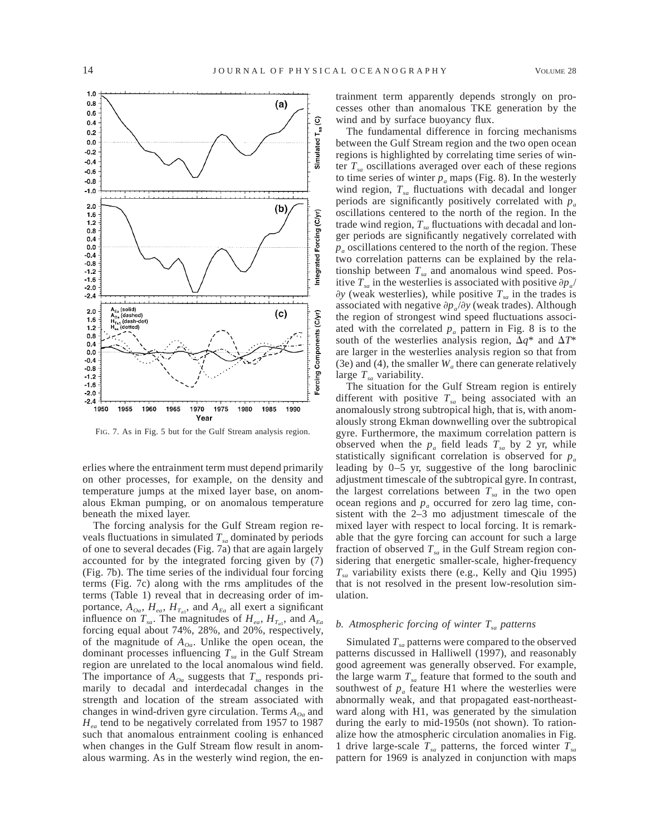

FIG. 7. As in Fig. 5 but for the Gulf Stream analysis region.

erlies where the entrainment term must depend primarily on other processes, for example, on the density and temperature jumps at the mixed layer base, on anomalous Ekman pumping, or on anomalous temperature beneath the mixed layer.

The forcing analysis for the Gulf Stream region reveals fluctuations in simulated  $T_{sa}$  dominated by periods of one to several decades (Fig. 7a) that are again largely accounted for by the integrated forcing given by (7) (Fig. 7b). The time series of the individual four forcing terms (Fig. 7c) along with the rms amplitudes of the terms (Table 1) reveal that in decreasing order of importance,  $A_{0a}$ ,  $H_{ea}$ ,  $H_{T_{a1}}$ , and  $A_{Ea}$  all exert a significant influence on  $T_{sa}$ . The magnitudes of  $H_{ea}$ ,  $H_{T_{a1}}$ , and  $A_{Ea}$ forcing equal about 74%, 28%, and 20%, respectively, of the magnitude of  $A_{0a}$ . Unlike the open ocean, the dominant processes influencing  $T_{sa}$  in the Gulf Stream region are unrelated to the local anomalous wind field. The importance of  $A_{oa}$  suggests that  $T_{sa}$  responds primarily to decadal and interdecadal changes in the strength and location of the stream associated with changes in wind-driven gyre circulation. Terms  $A_{0a}$  and *H<sub>ea</sub>* tend to be negatively correlated from 1957 to 1987 such that anomalous entrainment cooling is enhanced when changes in the Gulf Stream flow result in anomalous warming. As in the westerly wind region, the entrainment term apparently depends strongly on processes other than anomalous TKE generation by the wind and by surface buoyancy flux.

The fundamental difference in forcing mechanisms between the Gulf Stream region and the two open ocean regions is highlighted by correlating time series of winter  $T_{sa}$  oscillations averaged over each of these regions to time series of winter  $p_a$  maps (Fig. 8). In the westerly wind region,  $T_{sa}$  fluctuations with decadal and longer periods are significantly positively correlated with  $p_a$ oscillations centered to the north of the region. In the trade wind region,  $T_{sa}$  fluctuations with decadal and longer periods are significantly negatively correlated with  $p_a$  oscillations centered to the north of the region. These two correlation patterns can be explained by the relationship between  $T_{sa}$  and anomalous wind speed. Positive  $T_{sa}$  in the westerlies is associated with positive  $\partial p_a/$  $\partial y$  (weak westerlies), while positive  $T_{sa}$  in the trades is associated with negative  $\partial p_a/\partial y$  (weak trades). Although the region of strongest wind speed fluctuations associated with the correlated  $p_a$  pattern in Fig. 8 is to the south of the westerlies analysis region,  $\Delta q^*$  and  $\Delta T^*$ are larger in the westerlies analysis region so that from (3e) and (4), the smaller  $W_a$  there can generate relatively large  $T_{sa}$  variability.

The situation for the Gulf Stream region is entirely different with positive  $T_{sa}$  being associated with an anomalously strong subtropical high, that is, with anomalously strong Ekman downwelling over the subtropical gyre. Furthermore, the maximum correlation pattern is observed when the  $p_a$  field leads  $T_{sa}$  by 2 yr, while statistically significant correlation is observed for *pa* leading by 0–5 yr, suggestive of the long baroclinic adjustment timescale of the subtropical gyre. In contrast, the largest correlations between  $T_{sa}$  in the two open ocean regions and  $p_a$  occurred for zero lag time, consistent with the 2–3 mo adjustment timescale of the mixed layer with respect to local forcing. It is remarkable that the gyre forcing can account for such a large fraction of observed  $T_{sa}$  in the Gulf Stream region considering that energetic smaller-scale, higher-frequency *Tsa* variability exists there (e.g., Kelly and Qiu 1995) that is not resolved in the present low-resolution simulation.

### *b. Atmospheric forcing of winter Tsa patterns*

Simulated  $T_{sa}$  patterns were compared to the observed patterns discussed in Halliwell (1997), and reasonably good agreement was generally observed. For example, the large warm  $T_{sa}$  feature that formed to the south and southwest of  $p_a$  feature H1 where the westerlies were abnormally weak, and that propagated east-northeastward along with H1, was generated by the simulation during the early to mid-1950s (not shown). To rationalize how the atmospheric circulation anomalies in Fig. 1 drive large-scale  $T_{sa}$  patterns, the forced winter  $T_{sa}$ pattern for 1969 is analyzed in conjunction with maps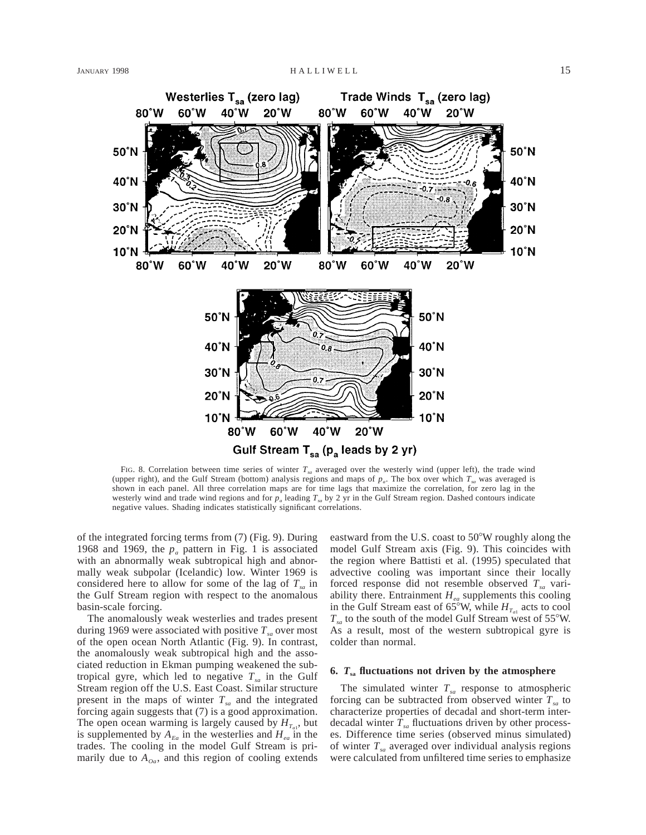

FIG. 8. Correlation between time series of winter  $T<sub>sa</sub>$  averaged over the westerly wind (upper left), the trade wind (upper right), and the Gulf Stream (bottom) analysis regions and maps of  $p_a$ . The box over which  $T_{sa}$  was averaged is shown in each panel. All three correlation maps are for time lags that maximize the correlation, for zero lag in the westerly wind and trade wind regions and for  $p_a$  leading  $T_{sa}$  by 2 yr in the Gulf Stream region. Dashed contours indicate negative values. Shading indicates statistically significant correlations.

of the integrated forcing terms from (7) (Fig. 9). During 1968 and 1969, the  $p_a$  pattern in Fig. 1 is associated with an abnormally weak subtropical high and abnormally weak subpolar (Icelandic) low. Winter 1969 is considered here to allow for some of the lag of  $T_{sa}$  in the Gulf Stream region with respect to the anomalous basin-scale forcing.

The anomalously weak westerlies and trades present during 1969 were associated with positive  $T_{sa}$  over most of the open ocean North Atlantic (Fig. 9). In contrast, the anomalously weak subtropical high and the associated reduction in Ekman pumping weakened the subtropical gyre, which led to negative  $T_{sa}$  in the Gulf Stream region off the U.S. East Coast. Similar structure present in the maps of winter *Tsa* and the integrated forcing again suggests that (7) is a good approximation. The open ocean warming is largely caused by  $H_{T_a}$ , but is supplemented by  $A_{E_a}$  in the westerlies and  $H_{ea}$  in the trades. The cooling in the model Gulf Stream is primarily due to  $A_{oa}$ , and this region of cooling extends eastward from the U.S. coast to  $50^{\circ}$ W roughly along the model Gulf Stream axis (Fig. 9). This coincides with the region where Battisti et al. (1995) speculated that advective cooling was important since their locally forced response did not resemble observed  $T_{sa}$  variability there. Entrainment  $H_{ea}$  supplements this cooling in the Gulf Stream east of 65°W, while  $H_{T_{a1}}$  acts to cool  $T_{sa}$  to the south of the model Gulf Stream west of 55°W. As a result, most of the western subtropical gyre is colder than normal.

## **6.** *T***sa fluctuations not driven by the atmosphere**

The simulated winter  $T_{sa}$  response to atmospheric forcing can be subtracted from observed winter  $T_{sa}$  to characterize properties of decadal and short-term interdecadal winter  $T_{sa}$  fluctuations driven by other processes. Difference time series (observed minus simulated) of winter *Tsa* averaged over individual analysis regions were calculated from unfiltered time series to emphasize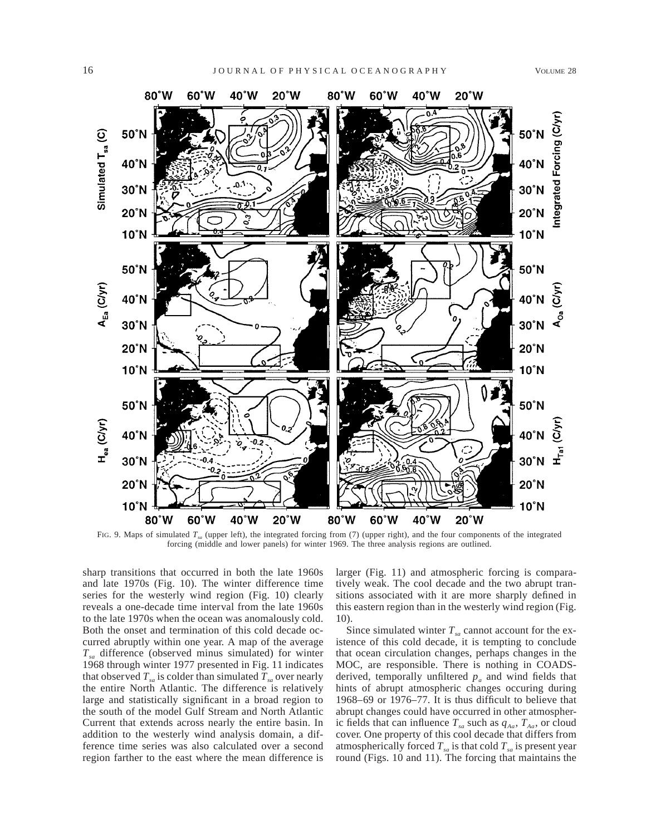

FIG. 9. Maps of simulated *Tsa* (upper left), the integrated forcing from (7) (upper right), and the four components of the integrated forcing (middle and lower panels) for winter 1969. The three analysis regions are outlined.

sharp transitions that occurred in both the late 1960s and late 1970s (Fig. 10). The winter difference time series for the westerly wind region (Fig. 10) clearly reveals a one-decade time interval from the late 1960s to the late 1970s when the ocean was anomalously cold. Both the onset and termination of this cold decade occurred abruptly within one year. A map of the average *Tsa* difference (observed minus simulated) for winter 1968 through winter 1977 presented in Fig. 11 indicates that observed  $T_{sa}$  is colder than simulated  $T_{sa}$  over nearly the entire North Atlantic. The difference is relatively large and statistically significant in a broad region to the south of the model Gulf Stream and North Atlantic Current that extends across nearly the entire basin. In addition to the westerly wind analysis domain, a difference time series was also calculated over a second region farther to the east where the mean difference is larger (Fig. 11) and atmospheric forcing is comparatively weak. The cool decade and the two abrupt transitions associated with it are more sharply defined in this eastern region than in the westerly wind region (Fig. 10).

Since simulated winter  $T_{sa}$  cannot account for the existence of this cold decade, it is tempting to conclude that ocean circulation changes, perhaps changes in the MOC, are responsible. There is nothing in COADSderived, temporally unfiltered  $p_a$  and wind fields that hints of abrupt atmospheric changes occuring during 1968–69 or 1976–77. It is thus difficult to believe that abrupt changes could have occurred in other atmospheric fields that can influence  $T_{sa}$  such as  $q_{Aa}$ ,  $T_{Aa}$ , or cloud cover. One property of this cool decade that differs from atmospherically forced  $T_{sa}$  is that cold  $T_{sa}$  is present year round (Figs. 10 and 11). The forcing that maintains the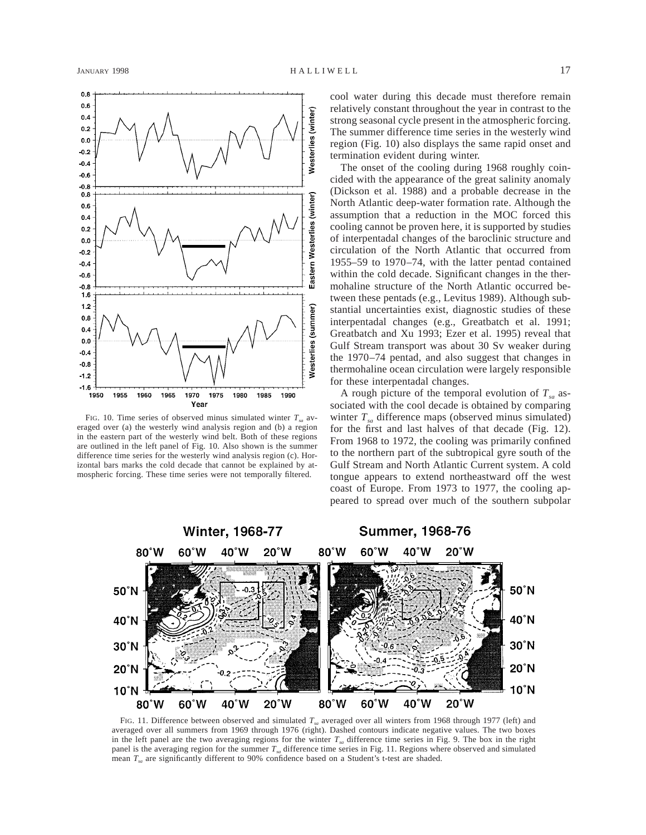

FIG. 10. Time series of observed minus simulated winter  $T_{sa}$  averaged over (a) the westerly wind analysis region and (b) a region in the eastern part of the westerly wind belt. Both of these regions are outlined in the left panel of Fig. 10. Also shown is the summer difference time series for the westerly wind analysis region (c). Horizontal bars marks the cold decade that cannot be explained by atmospheric forcing. These time series were not temporally filtered.

cool water during this decade must therefore remain relatively constant throughout the year in contrast to the strong seasonal cycle present in the atmospheric forcing. The summer difference time series in the westerly wind region (Fig. 10) also displays the same rapid onset and termination evident during winter.

The onset of the cooling during 1968 roughly coincided with the appearance of the great salinity anomaly (Dickson et al. 1988) and a probable decrease in the North Atlantic deep-water formation rate. Although the assumption that a reduction in the MOC forced this cooling cannot be proven here, it is supported by studies of interpentadal changes of the baroclinic structure and circulation of the North Atlantic that occurred from 1955–59 to 1970–74, with the latter pentad contained within the cold decade. Significant changes in the thermohaline structure of the North Atlantic occurred between these pentads (e.g., Levitus 1989). Although substantial uncertainties exist, diagnostic studies of these interpentadal changes (e.g., Greatbatch et al. 1991; Greatbatch and Xu 1993; Ezer et al. 1995) reveal that Gulf Stream transport was about 30 Sv weaker during the 1970–74 pentad, and also suggest that changes in thermohaline ocean circulation were largely responsible for these interpentadal changes.

A rough picture of the temporal evolution of  $T_{sa}$  associated with the cool decade is obtained by comparing winter  $T_{sa}$  difference maps (observed minus simulated) for the first and last halves of that decade (Fig. 12). From 1968 to 1972, the cooling was primarily confined to the northern part of the subtropical gyre south of the Gulf Stream and North Atlantic Current system. A cold tongue appears to extend northeastward off the west coast of Europe. From 1973 to 1977, the cooling appeared to spread over much of the southern subpolar



FIG. 11. Difference between observed and simulated  $T<sub>ex</sub>$  averaged over all winters from 1968 through 1977 (left) and averaged over all summers from 1969 through 1976 (right). Dashed contours indicate negative values. The two boxes in the left panel are the two averaging regions for the winter  $T_{sa}$  difference time series in Fig. 9. The box in the right panel is the averaging region for the summer *Tsa* difference time series in Fig. 11. Regions where observed and simulated mean *Tsa* are significantly different to 90% confidence based on a Student's t-test are shaded.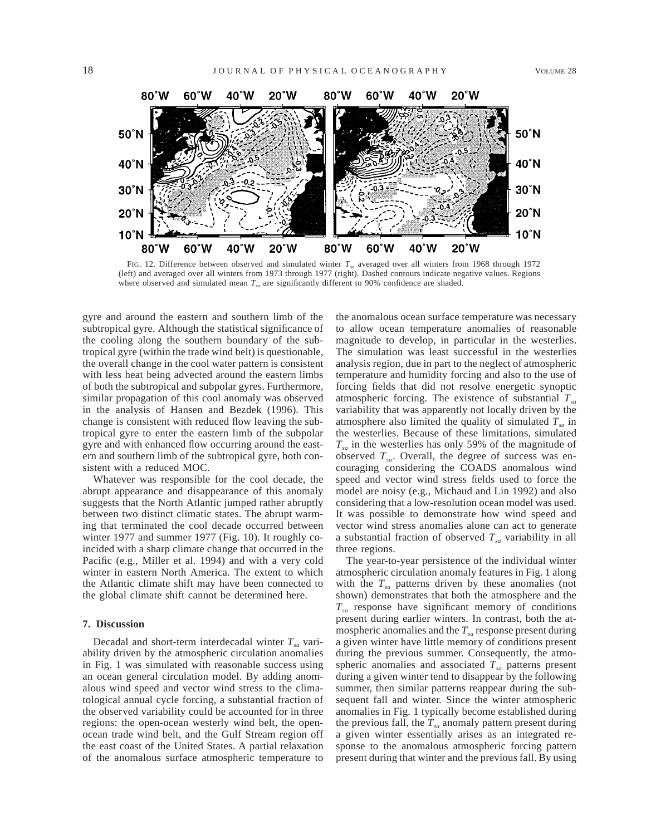

FIG. 12. Difference between observed and simulated winter  $T_{sa}$  averaged over all winters from 1968 through 1972 (left) and averaged over all winters from 1973 through 1977 (right). Dashed contours indicate negative values. Regions where observed and simulated mean  $T<sub>sa</sub>$  are significantly different to 90% confidence are shaded.

gyre and around the eastern and southern limb of the subtropical gyre. Although the statistical significance of the cooling along the southern boundary of the subtropical gyre (within the trade wind belt) is questionable, the overall change in the cool water pattern is consistent with less heat being advected around the eastern limbs of both the subtropical and subpolar gyres. Furthermore, similar propagation of this cool anomaly was observed in the analysis of Hansen and Bezdek (1996). This change is consistent with reduced flow leaving the subtropical gyre to enter the eastern limb of the subpolar gyre and with enhanced flow occurring around the eastern and southern limb of the subtropical gyre, both consistent with a reduced MOC.

Whatever was responsible for the cool decade, the abrupt appearance and disappearance of this anomaly suggests that the North Atlantic jumped rather abruptly between two distinct climatic states. The abrupt warming that terminated the cool decade occurred between winter 1977 and summer 1977 (Fig. 10). It roughly coincided with a sharp climate change that occurred in the Pacific (e.g., Miller et al. 1994) and with a very cold winter in eastern North America. The extent to which the Atlantic climate shift may have been connected to the global climate shift cannot be determined here.

### **7. Discussion**

Decadal and short-term interdecadal winter  $T_{sa}$  variability driven by the atmospheric circulation anomalies in Fig. 1 was simulated with reasonable success using an ocean general circulation model. By adding anomalous wind speed and vector wind stress to the climatological annual cycle forcing, a substantial fraction of the observed variability could be accounted for in three regions: the open-ocean westerly wind belt, the openocean trade wind belt, and the Gulf Stream region off the east coast of the United States. A partial relaxation of the anomalous surface atmospheric temperature to

the anomalous ocean surface temperature was necessary to allow ocean temperature anomalies of reasonable magnitude to develop, in particular in the westerlies. The simulation was least successful in the westerlies analysis region, due in part to the neglect of atmospheric temperature and humidity forcing and also to the use of forcing fields that did not resolve energetic synoptic atmospheric forcing. The existence of substantial  $T_{sa}$ variability that was apparently not locally driven by the atmosphere also limited the quality of simulated  $T_{sa}$  in the westerlies. Because of these limitations, simulated  $T_{sa}$  in the westerlies has only 59% of the magnitude of observed  $T_{sa}$ . Overall, the degree of success was encouraging considering the COADS anomalous wind speed and vector wind stress fields used to force the model are noisy (e.g., Michaud and Lin 1992) and also considering that a low-resolution ocean model was used. It was possible to demonstrate how wind speed and vector wind stress anomalies alone can act to generate a substantial fraction of observed  $T_{sa}$  variability in all three regions.

The year-to-year persistence of the individual winter atmospheric circulation anomaly features in Fig. 1 along with the  $T_{sa}$  patterns driven by these anomalies (not shown) demonstrates that both the atmosphere and the *Tsa* response have significant memory of conditions present during earlier winters. In contrast, both the atmospheric anomalies and the  $T_{sa}$  response present during a given winter have little memory of conditions present during the previous summer. Consequently, the atmospheric anomalies and associated  $T_{sa}$  patterns present during a given winter tend to disappear by the following summer, then similar patterns reappear during the subsequent fall and winter. Since the winter atmospheric anomalies in Fig. 1 typically become established during the previous fall, the  $T_{sa}$  anomaly pattern present during a given winter essentially arises as an integrated response to the anomalous atmospheric forcing pattern present during that winter and the previous fall. By using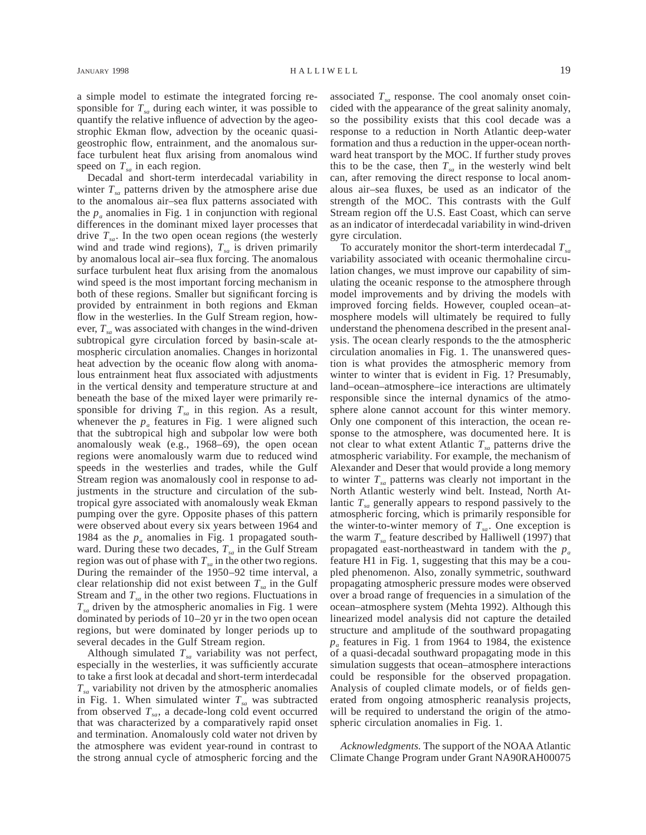a simple model to estimate the integrated forcing responsible for  $T_{sa}$  during each winter, it was possible to quantify the relative influence of advection by the ageostrophic Ekman flow, advection by the oceanic quasigeostrophic flow, entrainment, and the anomalous surface turbulent heat flux arising from anomalous wind speed on  $T<sub>sa</sub>$  in each region.

Decadal and short-term interdecadal variability in winter  $T_{sa}$  patterns driven by the atmosphere arise due to the anomalous air–sea flux patterns associated with the  $p_a$  anomalies in Fig. 1 in conjunction with regional differences in the dominant mixed layer processes that drive  $T_{sa}$ . In the two open ocean regions (the westerly wind and trade wind regions),  $T_{sa}$  is driven primarily by anomalous local air–sea flux forcing. The anomalous surface turbulent heat flux arising from the anomalous wind speed is the most important forcing mechanism in both of these regions. Smaller but significant forcing is provided by entrainment in both regions and Ekman flow in the westerlies. In the Gulf Stream region, however,  $T_{sa}$  was associated with changes in the wind-driven subtropical gyre circulation forced by basin-scale atmospheric circulation anomalies. Changes in horizontal heat advection by the oceanic flow along with anomalous entrainment heat flux associated with adjustments in the vertical density and temperature structure at and beneath the base of the mixed layer were primarily responsible for driving  $T_{sa}$  in this region. As a result, whenever the  $p_a$  features in Fig. 1 were aligned such that the subtropical high and subpolar low were both anomalously weak (e.g., 1968–69), the open ocean regions were anomalously warm due to reduced wind speeds in the westerlies and trades, while the Gulf Stream region was anomalously cool in response to adjustments in the structure and circulation of the subtropical gyre associated with anomalously weak Ekman pumping over the gyre. Opposite phases of this pattern were observed about every six years between 1964 and 1984 as the  $p_a$  anomalies in Fig. 1 propagated southward. During these two decades,  $T_{sa}$  in the Gulf Stream region was out of phase with  $T_{sa}$  in the other two regions. During the remainder of the 1950–92 time interval, a clear relationship did not exist between  $T_{sa}$  in the Gulf Stream and  $T_{sa}$  in the other two regions. Fluctuations in  $T_{sa}$  driven by the atmospheric anomalies in Fig. 1 were dominated by periods of 10–20 yr in the two open ocean regions, but were dominated by longer periods up to several decades in the Gulf Stream region.

Although simulated  $T_{sa}$  variability was not perfect, especially in the westerlies, it was sufficiently accurate to take a first look at decadal and short-term interdecadal  $T_{sa}$  variability not driven by the atmospheric anomalies in Fig. 1. When simulated winter  $T_{sa}$  was subtracted from observed  $T_{sa}$ , a decade-long cold event occurred that was characterized by a comparatively rapid onset and termination. Anomalously cold water not driven by the atmosphere was evident year-round in contrast to the strong annual cycle of atmospheric forcing and the associated  $T<sub>sa</sub>$  response. The cool anomaly onset coincided with the appearance of the great salinity anomaly, so the possibility exists that this cool decade was a response to a reduction in North Atlantic deep-water formation and thus a reduction in the upper-ocean northward heat transport by the MOC. If further study proves this to be the case, then  $T<sub>sa</sub>$  in the westerly wind belt can, after removing the direct response to local anomalous air–sea fluxes, be used as an indicator of the strength of the MOC. This contrasts with the Gulf Stream region off the U.S. East Coast, which can serve as an indicator of interdecadal variability in wind-driven gyre circulation.

To accurately monitor the short-term interdecadal  $T_{sa}$ variability associated with oceanic thermohaline circulation changes, we must improve our capability of simulating the oceanic response to the atmosphere through model improvements and by driving the models with improved forcing fields. However, coupled ocean–atmosphere models will ultimately be required to fully understand the phenomena described in the present analysis. The ocean clearly responds to the the atmospheric circulation anomalies in Fig. 1. The unanswered question is what provides the atmospheric memory from winter to winter that is evident in Fig. 1? Presumably, land–ocean–atmosphere–ice interactions are ultimately responsible since the internal dynamics of the atmosphere alone cannot account for this winter memory. Only one component of this interaction, the ocean response to the atmosphere, was documented here. It is not clear to what extent Atlantic  $T_{sa}$  patterns drive the atmospheric variability. For example, the mechanism of Alexander and Deser that would provide a long memory to winter  $T_{sa}$  patterns was clearly not important in the North Atlantic westerly wind belt. Instead, North Atlantic  $T_{sa}$  generally appears to respond passively to the atmospheric forcing, which is primarily responsible for the winter-to-winter memory of  $T_{sa}$ . One exception is the warm  $T_{sa}$  feature described by Halliwell (1997) that propagated east-northeastward in tandem with the  $p_a$ feature H1 in Fig. 1, suggesting that this may be a coupled phenomenon. Also, zonally symmetric, southward propagating atmospheric pressure modes were observed over a broad range of frequencies in a simulation of the ocean–atmosphere system (Mehta 1992). Although this linearized model analysis did not capture the detailed structure and amplitude of the southward propagating *pa* features in Fig. 1 from 1964 to 1984, the existence of a quasi-decadal southward propagating mode in this simulation suggests that ocean–atmosphere interactions could be responsible for the observed propagation. Analysis of coupled climate models, or of fields generated from ongoing atmospheric reanalysis projects, will be required to understand the origin of the atmospheric circulation anomalies in Fig. 1.

*Acknowledgments.* The support of the NOAA Atlantic Climate Change Program under Grant NA90RAH00075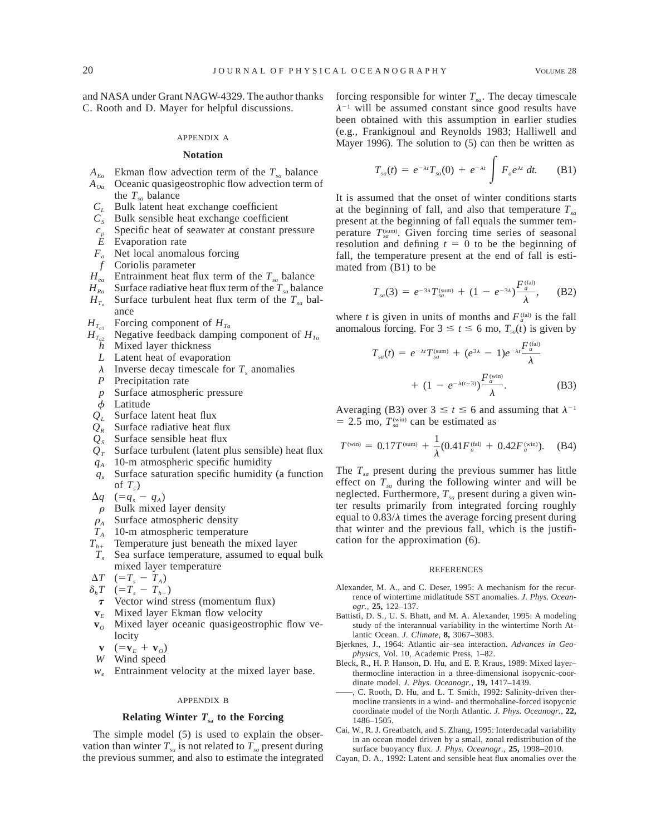and NASA under Grant NAGW-4329. The author thanks C. Rooth and D. Mayer for helpful discussions.

#### APPENDIX A

#### **Notation**

- $A_{Ea}$  Ekman flow advection term of the  $T_{sa}$  balance
- *A*<sub>*oa*</sub> Oceanic quasigeostrophic flow advection term of
- the  $T_{sa}$  balance
- *CL* Bulk latent heat exchange coefficient
- $C<sub>s</sub>$  Bulk sensible heat exchange coefficient
- $c_p$  Specific heat of seawater at constant pressure
- *E* Evaporation rate
- *F<sub>a</sub>* Net local anomalous forcing
- *f* Coriolis parameter
- $H_{ea}$  Entrainment heat flux term of the  $T_{sa}$  balance
- $H_{Ra}$  Surface radiative heat flux term of the  $T_{sa}$  balance
- $H_{T_a}$  Surface turbulent heat flux term of the  $T_{sa}$  balance
- $H_{T_{a1}}$  Forcing component of  $H_{Ta}$
- $H_{T_{a2}}$  Negative feedback damping component of  $H_{T_{a2}}$ *h* Mixed layer thickness
	- *L* Latent heat of evaporation
	- $\lambda$  Inverse decay timescale for  $T_s$  anomalies
	- *P* Precipitation rate
	- *p* Surface atmospheric pressure
	- $\phi$  Latitude
- *QL* Surface latent heat flux
- $Q_R$  Surface radiative heat flux
- $Q<sub>s</sub>$  Surface sensible heat flux
- $Q_T$  Surface turbulent (latent plus sensible) heat flux
- *qA* 10-m atmospheric specific humidity
- *qs* Surface saturation specific humidity (a function of  $T_s$ )
- $\Delta q$  (=q<sub>s</sub> q<sub>A</sub>)
- $\rho$  Bulk mixed layer density
- $\rho_A$  Surface atmospheric density
- *TA* 10-m atmospheric temperature
- $T_{h+}$  Temperature just beneath the mixed layer
- *Ts* Sea surface temperature, assumed to equal bulk mixed layer temperature
- $\Delta T$  (= $T_s T_A$ )
- $\delta_h T$  (=T<sub>s</sub> T<sub>h+</sub>)
- $\tau$  Vector wind stress (momentum flux)
- $v_E$  Mixed layer Ekman flow velocity
- **v**<sub>*O*</sub> Mixed layer oceanic quasigeostrophic flow velocity
- $\mathbf{v}$   $(=\mathbf{v}_E + \mathbf{v}_O)$
- *W* Wind speed
- *we* Entrainment velocity at the mixed layer base.

### APPENDIX B

### **Relating Winter**  $T_{sa}$  to the Forcing

The simple model (5) is used to explain the observation than winter  $T_{sa}$  is not related to  $T_{sa}$  present during the previous summer, and also to estimate the integrated forcing responsible for winter  $T_{sa}$ . The decay timescale  $\lambda^{-1}$  will be assumed constant since good results have been obtained with this assumption in earlier studies (e.g., Frankignoul and Reynolds 1983; Halliwell and Mayer 1996). The solution to (5) can then be written as

$$
T_{sa}(t) = e^{-\lambda t} T_{sa}(0) + e^{-\lambda t} \int F_a e^{\lambda t} dt.
$$
 (B1)

It is assumed that the onset of winter conditions starts at the beginning of fall, and also that temperature  $T_{sa}$ present at the beginning of fall equals the summer temperature  $T_{\text{sym}}^{(\text{sum})}$ . Given forcing time series of seasonal resolution and defining  $t = 0$  to be the beginning of fall, the temperature present at the end of fall is estimated from (B1) to be

$$
T_{sa}(3) = e^{-3\lambda} T_{sa}^{(\text{sum})} + (1 - e^{-3\lambda}) \frac{F_a^{(\text{fal})}}{\lambda}, \quad (B2)
$$

where *t* is given in units of months and  $F_a^{\text{(fal)}}$  is the fall anomalous forcing. For  $3 \le t \le 6$  mo,  $T_{sa}(t)$  is given by

$$
T_{sa}(t) = e^{-\lambda t} T_{sa}^{(\text{sum})} + (e^{3\lambda} - 1)e^{-\lambda t} \frac{F_a^{(\text{fail})}}{\lambda}
$$

$$
+ (1 - e^{-\lambda(t-3)}) \frac{F_a^{(\text{win})}}{\lambda}.
$$
 (B3)

Averaging (B3) over  $3 \le t \le 6$  and assuming that  $\lambda^{-1}$  $= 2.5$  mo,  $T_{sa}^{(win)}$  can be estimated as

$$
T^{(\text{win})} = 0.17T^{(\text{sum})} + \frac{1}{\lambda} (0.41F_a^{(\text{fal})} + 0.42F_a^{(\text{win})}).
$$
 (B4)

The  $T_{sa}$  present during the previous summer has little effect on  $T_{sa}$  during the following winter and will be neglected. Furthermore,  $T_{sa}$  present during a given winter results primarily from integrated forcing roughly equal to  $0.83/\lambda$  times the average forcing present during that winter and the previous fall, which is the justification for the approximation (6).

#### **REFERENCES**

- Alexander, M. A., and C. Deser, 1995: A mechanism for the recurrence of wintertime midlatitude SST anomalies. *J. Phys. Oceanogr.,* **25,** 122–137.
- Battisti, D. S., U. S. Bhatt, and M. A. Alexander, 1995: A modeling study of the interannual variability in the wintertime North Atlantic Ocean. *J. Climate,* **8,** 3067–3083.
- Bjerknes, J., 1964: Atlantic air–sea interaction. *Advances in Geophysics,* Vol. 10, Academic Press, 1–82.
- Bleck, R., H. P. Hanson, D. Hu, and E. P. Kraus, 1989: Mixed layer– thermocline interaction in a three-dimensional isopycnic-coordinate model. *J. Phys. Oceanogr.,* **19,** 1417–1439.
- , C. Rooth, D. Hu, and L. T. Smith, 1992: Salinity-driven thermocline transients in a wind- and thermohaline-forced isopycnic coordinate model of the North Atlantic. *J. Phys. Oceanogr.,* **22,** 1486–1505.
- Cai, W., R. J. Greatbatch, and S. Zhang, 1995: Interdecadal variability in an ocean model driven by a small, zonal redistribution of the surface buoyancy flux. *J. Phys. Oceanogr.,* **25,** 1998–2010.
- Cayan, D. A., 1992: Latent and sensible heat flux anomalies over the